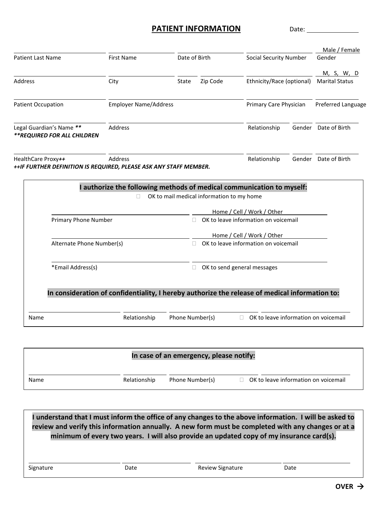## **PATIENT INFORMATION** Date:

| <b>Patient Last Name</b>                                          | <b>First Name</b>                                                                              | Date of Birth |                                           | <b>Social Security Number</b>                                      |  | Male / Female<br>Gender                    |
|-------------------------------------------------------------------|------------------------------------------------------------------------------------------------|---------------|-------------------------------------------|--------------------------------------------------------------------|--|--------------------------------------------|
|                                                                   |                                                                                                |               |                                           |                                                                    |  | M, S, W, D                                 |
| <b>Address</b>                                                    | City                                                                                           | State         | Zip Code                                  | Ethnicity/Race (optional)                                          |  | <b>Marital Status</b>                      |
| Patient Occupation<br><b>Employer Name/Address</b>                |                                                                                                |               |                                           | Primary Care Physician                                             |  | Preferred Language<br>Gender Date of Birth |
| Legal Guardian's Name **<br>**REQUIRED FOR ALL CHILDREN           | Address                                                                                        |               |                                           | Relationship                                                       |  |                                            |
| HealthCare Proxy++                                                | Address                                                                                        |               |                                           | Relationship                                                       |  | Gender Date of Birth                       |
| ++IF FURTHER DEFINITION IS REQUIRED, PLEASE ASK ANY STAFF MEMBER. | I authorize the following methods of medical communication to myself:                          |               |                                           |                                                                    |  |                                            |
|                                                                   |                                                                                                |               | OK to mail medical information to my home |                                                                    |  |                                            |
| <b>Primary Phone Number</b>                                       |                                                                                                |               |                                           | Home / Cell / Work / Other<br>OK to leave information on voicemail |  |                                            |
|                                                                   |                                                                                                |               |                                           |                                                                    |  |                                            |
| Alternate Phone Number(s)                                         |                                                                                                |               |                                           | Home / Cell / Work / Other<br>OK to leave information on voicemail |  |                                            |
| *Email Address(s)                                                 |                                                                                                |               |                                           | OK to send general messages                                        |  |                                            |
|                                                                   | In consideration of confidentiality, I hereby authorize the release of medical information to: |               |                                           |                                                                    |  |                                            |

| In case of an emergency, please notify: |              |                 |                                      |  |  |  |
|-----------------------------------------|--------------|-----------------|--------------------------------------|--|--|--|
| <b>Name</b>                             | Relationship | Phone Number(s) | OK to leave information on voicemail |  |  |  |

**I understand that I must inform the office of any changes to the above information. I will be asked to review and verify this information annually. A new form must be completed with any changes or at a minimum of every two years. I will also provide an updated copy of my insurance card(s).** 

l Signature **Date** Date **Date Review Signature** Date